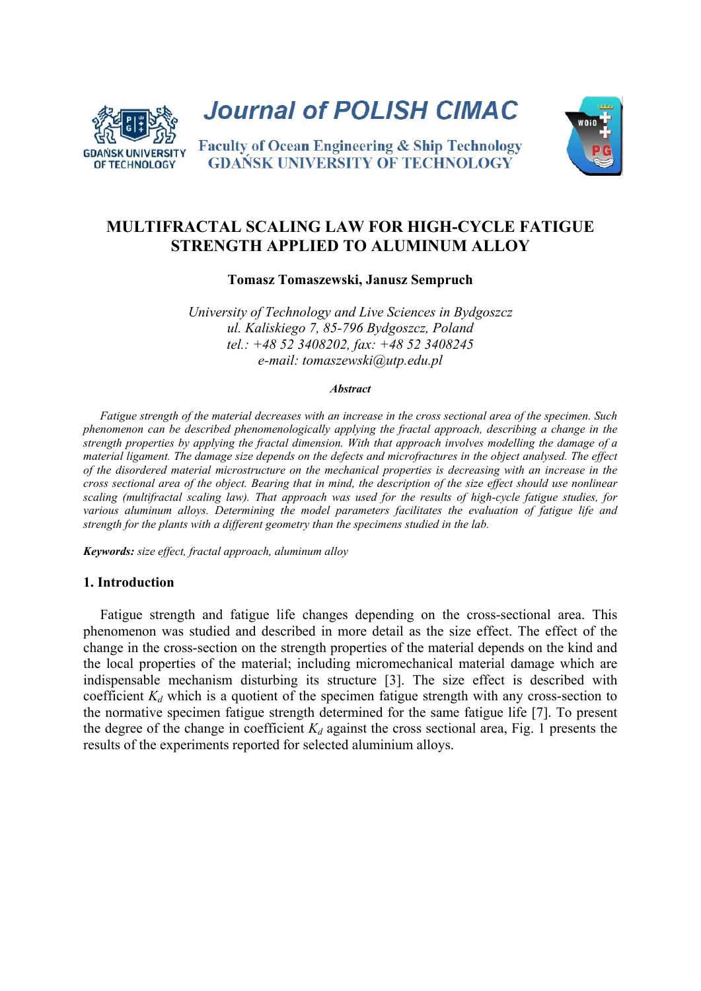

**Journal of POLISH CIMAC** 



**Faculty of Ocean Engineering & Ship Technology GDAŃSK UNIVERSITY OF TECHNOLOGY** 

# **MULTIFRACTAL SCALING LAW FOR HIGH-CYCLE FATIGUE STRENGTH APPLIED TO ALUMINUM ALLOY**

**Tomasz Tomaszewski, Janusz Sempruch** 

*University of Technology and Live Sciences in Bydgoszcz ul. Kaliskiego 7, 85-796 Bydgoszcz, Poland tel.: +48 52 3408202, fax: +48 52 3408245 e-mail: tomaszewski@utp.edu.pl*

#### *Abstract*

*Fatigue strength of the material decreases with an increase in the cross sectional area of the specimen. Such phenomenon can be described phenomenologically applying the fractal approach, describing a change in the strength properties by applying the fractal dimension. With that approach involves modelling the damage of a material ligament. The damage size depends on the defects and microfractures in the object analysed. The effect of the disordered material microstructure on the mechanical properties is decreasing with an increase in the cross sectional area of the object. Bearing that in mind, the description of the size effect should use nonlinear scaling (multifractal scaling law). That approach was used for the results of high-cycle fatigue studies, for various aluminum alloys. Determining the model parameters facilitates the evaluation of fatigue life and strength for the plants with a different geometry than the specimens studied in the lab.* 

*Keywords: size effect, fractal approach, aluminum alloy* 

## **1. Introduction**

Fatigue strength and fatigue life changes depending on the cross-sectional area. This phenomenon was studied and described in more detail as the size effect. The effect of the change in the cross-section on the strength properties of the material depends on the kind and the local properties of the material; including micromechanical material damage which are indispensable mechanism disturbing its structure [3]. The size effect is described with coefficient  $K_d$  which is a quotient of the specimen fatigue strength with any cross-section to the normative specimen fatigue strength determined for the same fatigue life [7]. To present the degree of the change in coefficient  $K_d$  against the cross sectional area, Fig. 1 presents the results of the experiments reported for selected aluminium alloys.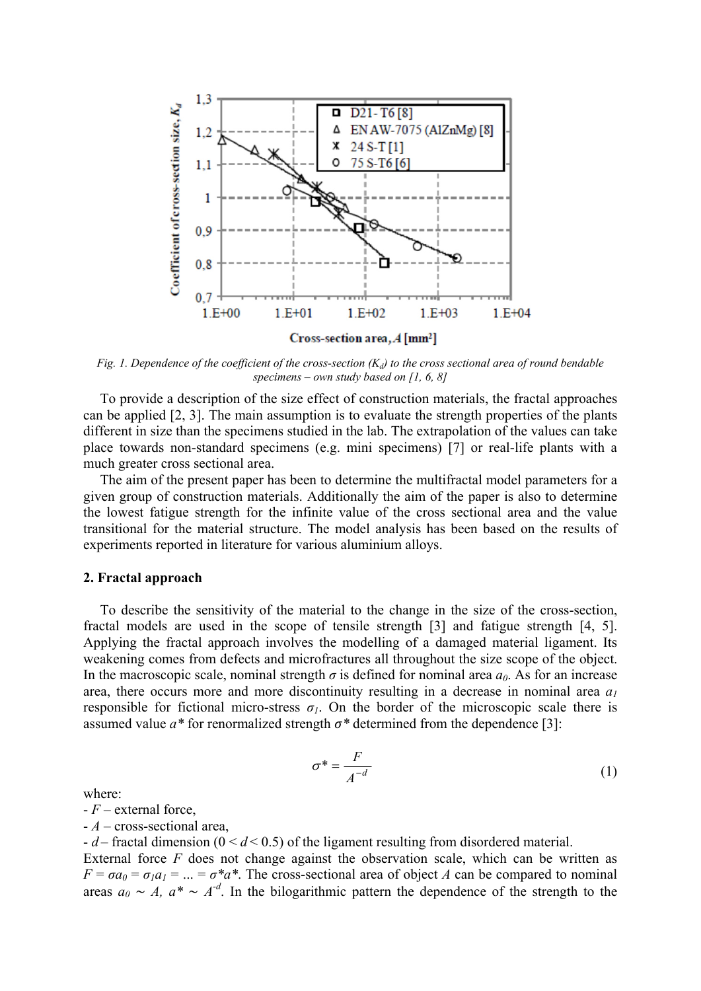

*Fig. 1. Dependence of the coefficient of the cross-section*  $(K_d)$  *to the cross sectional area of round bendable specimens – own study based on [1, 6, 8]* 

To provide a description of the size effect of construction materials, the fractal approaches can be applied [2, 3]. The main assumption is to evaluate the strength properties of the plants different in size than the specimens studied in the lab. The extrapolation of the values can take place towards non-standard specimens (e.g. mini specimens) [7] or real-life plants with a much greater cross sectional area.

The aim of the present paper has been to determine the multifractal model parameters for a given group of construction materials. Additionally the aim of the paper is also to determine the lowest fatigue strength for the infinite value of the cross sectional area and the value transitional for the material structure. The model analysis has been based on the results of experiments reported in literature for various aluminium alloys.

### **2. Fractal approach**

To describe the sensitivity of the material to the change in the size of the cross-section, fractal models are used in the scope of tensile strength [3] and fatigue strength [4, 5]. Applying the fractal approach involves the modelling of a damaged material ligament. Its weakening comes from defects and microfractures all throughout the size scope of the object. In the macroscopic scale, nominal strength  $\sigma$  is defined for nominal area  $a_0$ . As for an increase area, there occurs more and more discontinuity resulting in a decrease in nominal area  $a_1$ responsible for fictional micro-stress  $\sigma_l$ . On the border of the microscopic scale there is assumed value  $a^*$  for renormalized strength  $\sigma^*$  determined from the dependence [3]:

$$
\sigma^* = \frac{F}{A^{-d}} \tag{1}
$$

where:

- *F* – external force,

- *A* – cross-sectional area,

- *d* – fractal dimension (0 < *d* < 0.5) of the ligament resulting from disordered material. External force *F* does not change against the observation scale, which can be written as  $F = \sigma a_0 = \sigma_1 a_1 = ... = \sigma^* a^*$ . The cross-sectional area of object *A* can be compared to nominal areas  $a_0 \sim A$ ,  $a^* \sim A^{-d}$ . In the bilogarithmic pattern the dependence of the strength to the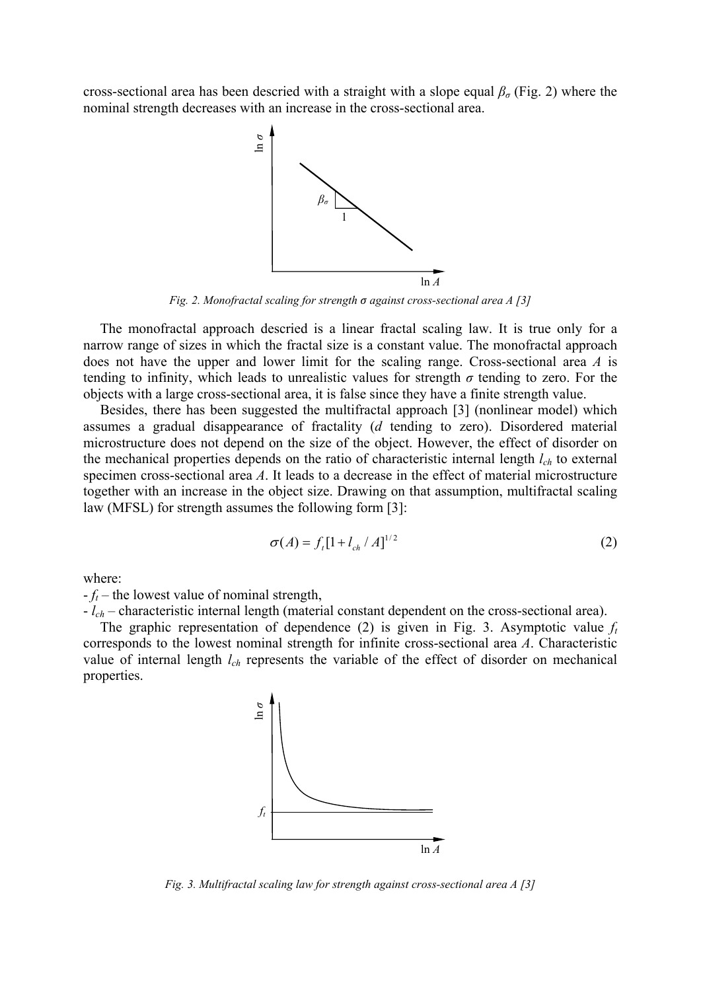cross-sectional area has been descried with a straight with a slope equal  $\beta_{\sigma}$  (Fig. 2) where the nominal strength decreases with an increase in the cross-sectional area.



*Fig. 2. Monofractal scaling for strength σ against cross-sectional area A [3]* 

The monofractal approach descried is a linear fractal scaling law. It is true only for a narrow range of sizes in which the fractal size is a constant value. The monofractal approach does not have the upper and lower limit for the scaling range. Cross-sectional area *A* is tending to infinity, which leads to unrealistic values for strength  $\sigma$  tending to zero. For the objects with a large cross-sectional area, it is false since they have a finite strength value.

Besides, there has been suggested the multifractal approach [3] (nonlinear model) which assumes a gradual disappearance of fractality (*d* tending to zero). Disordered material microstructure does not depend on the size of the object. However, the effect of disorder on the mechanical properties depends on the ratio of characteristic internal length *lch* to external specimen cross-sectional area *A*. It leads to a decrease in the effect of material microstructure together with an increase in the object size. Drawing on that assumption, multifractal scaling law (MFSL) for strength assumes the following form [3]:

$$
\sigma(A) = f_t[1 + l_{ch} / A]^{1/2}
$$
 (2)

where:

 $-f_t$  – the lowest value of nominal strength,

- *lch* – characteristic internal length (material constant dependent on the cross-sectional area).

The graphic representation of dependence (2) is given in Fig. 3. Asymptotic value  $f_t$ corresponds to the lowest nominal strength for infinite cross-sectional area *A*. Characteristic value of internal length *lch* represents the variable of the effect of disorder on mechanical properties.

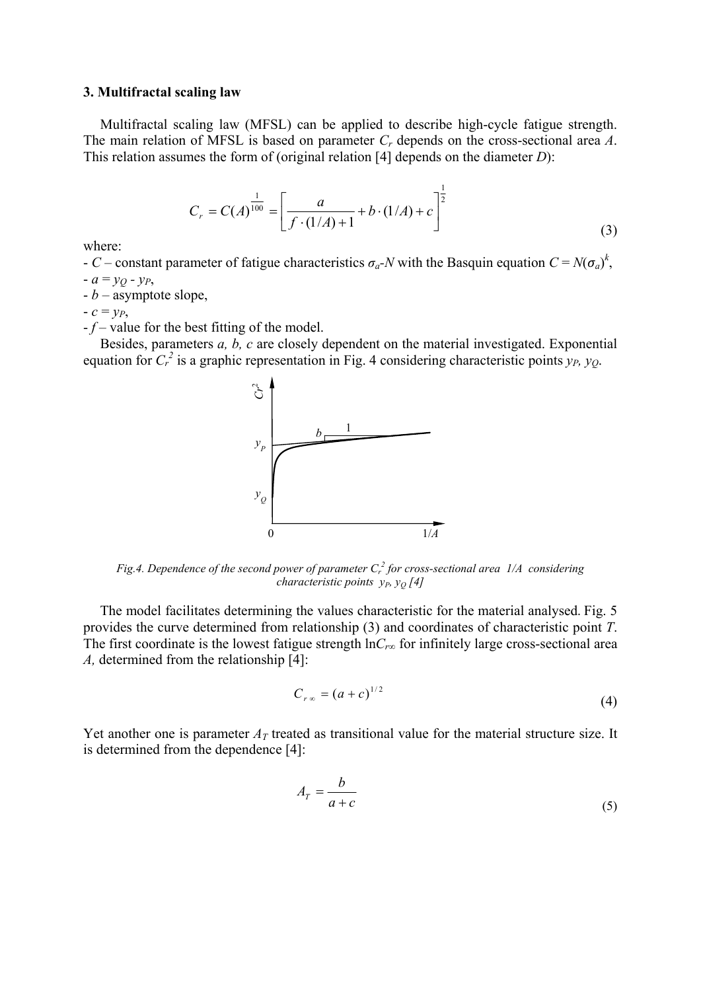### **3. Multifractal scaling law**

Multifractal scaling law (MFSL) can be applied to describe high-cycle fatigue strength. The main relation of MFSL is based on parameter *Cr* depends on the cross-sectional area *A*. This relation assumes the form of (original relation [4] depends on the diameter *D*):

$$
C_r = C(A)^{\frac{1}{100}} = \left[\frac{a}{f \cdot (1/A) + 1} + b \cdot (1/A) + c\right]^{\frac{1}{2}}
$$
\n(3)

where:

- *C* – constant parameter of fatigue characteristics  $\sigma_a$ -*N* with the Basquin equation  $C = N(\sigma_a)^k$ ,  $-a \equiv v_O - v_P$ 

- *b* – asymptote slope,

 $-c = y_P$ 

- *f* – value for the best fitting of the model.

Besides, parameters *a, b, c* are closely dependent on the material investigated. Exponential equation for  $C_r^2$  is a graphic representation in Fig. 4 considering characteristic points  $y_p$ ,  $y_Q$ .



Fig.4. Dependence of the second power of parameter  $C_r^2$  for cross-sectional area  $1/A$  considering *characteristic points y<sub>P</sub>, y<sub>0</sub> [4]* 

The model facilitates determining the values characteristic for the material analysed. Fig. 5 provides the curve determined from relationship (3) and coordinates of characteristic point *T*. The first coordinate is the lowest fatigue strength  $\ln C_{r\infty}$  for infinitely large cross-sectional area *A,* determined from the relationship [4]:

$$
C_{r\infty} = (a+c)^{1/2} \tag{4}
$$

Yet another one is parameter  $A_T$  treated as transitional value for the material structure size. It is determined from the dependence [4]:

$$
A_T = \frac{b}{a+c} \tag{5}
$$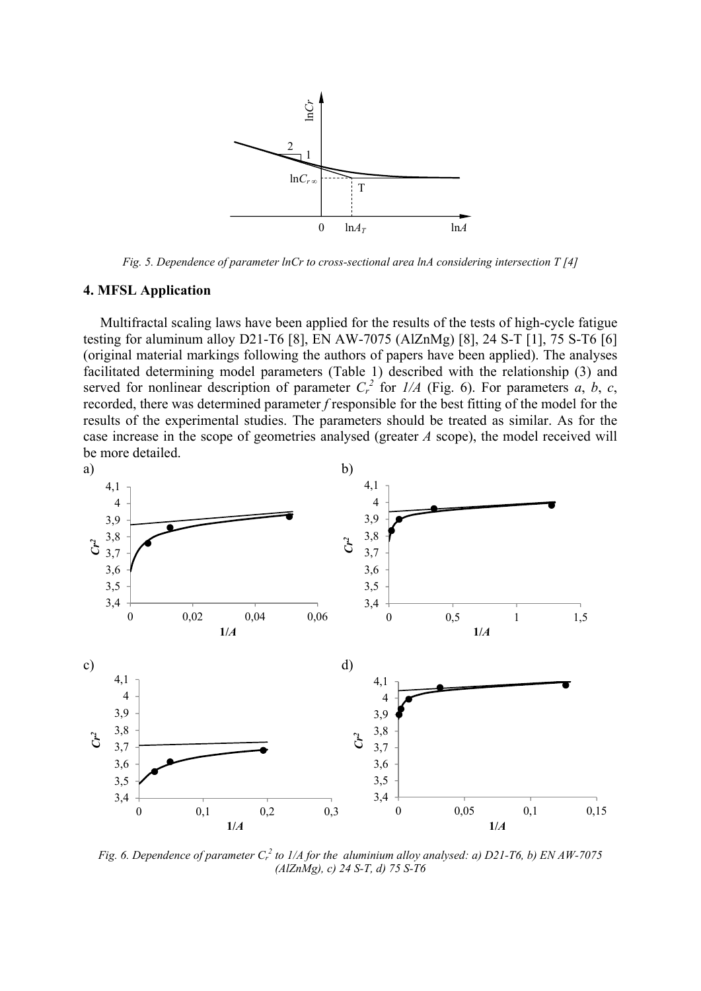

*Fig. 5. Dependence of parameter lnCr to cross-sectional area lnA considering intersection T [4]* 

## **4. MFSL Application**

Multifractal scaling laws have been applied for the results of the tests of high-cycle fatigue testing for aluminum alloy D21-T6 [8], EN AW-7075 (AlZnMg) [8], 24 S-T [1], 75 S-T6 [6] (original material markings following the authors of papers have been applied). The analyses facilitated determining model parameters (Table 1) described with the relationship (3) and served for nonlinear description of parameter  $C_r^2$  for  $I/A$  (Fig. 6). For parameters *a*, *b*, *c*, recorded, there was determined parameter *f* responsible for the best fitting of the model for the results of the experimental studies. The parameters should be treated as similar. As for the case increase in the scope of geometries analysed (greater *A* scope), the model received will be more detailed.



*Fig.* 6. Dependence of parameter  $C_r^2$  to 1/A for the aluminium alloy analysed: a) D21-T6, b) EN AW-7075 *(AlZnMg), c) 24 S-T, d) 75 S-T6*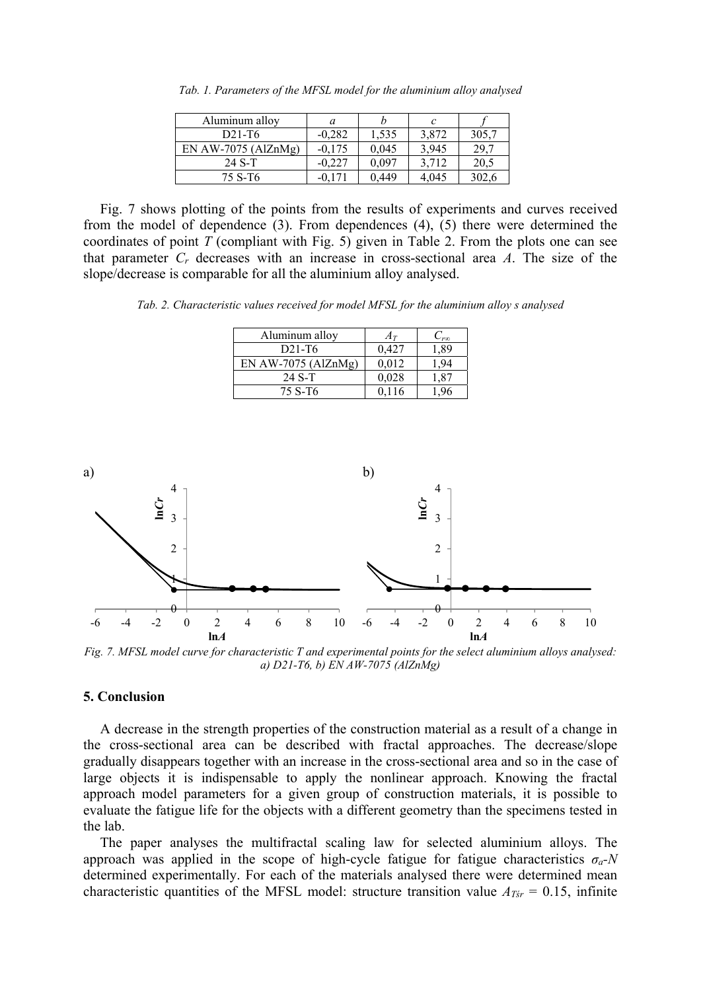| Aluminum alloy        | a        |       |       |       |
|-----------------------|----------|-------|-------|-------|
| $D21-T6$              | $-0.282$ | 1,535 | 3,872 | 305,7 |
| EN AW-7075 $(AIZnMg)$ | $-0.175$ | 0,045 | 3,945 | 29.′  |
| 24 S-T                | $-0.227$ | 0.097 | 3,712 | 20,5  |
| 75 S-T6               | -0 171   | 0.449 | 4.045 | 302,6 |

*Tab. 1. Parameters of the MFSL model for the aluminium alloy analysed* 

Fig. 7 shows plotting of the points from the results of experiments and curves received from the model of dependence (3). From dependences (4), (5) there were determined the coordinates of point *T* (compliant with Fig. 5) given in Table 2. From the plots one can see that parameter *Cr* decreases with an increase in cross-sectional area *A*. The size of the slope/decrease is comparable for all the aluminium alloy analysed.

*Tab. 2. Characteristic values received for model MFSL for the aluminium alloy s analysed* 

| Aluminum alloy      |       | -roo |
|---------------------|-------|------|
| $D21-T6$            | 0.427 | ,89  |
| EN AW-7075 (AlZnMg) | 0.012 |      |
| 24 S-T              | 0,028 | .87  |
| 75 S-T6             | -116  |      |



*Fig. 7. MFSL model curve for characteristic T and experimental points for the select aluminium alloys analysed: a) D21-T6, b) EN AW-7075 (AlZnMg)* 

## **5. Conclusion**

A decrease in the strength properties of the construction material as a result of a change in the cross-sectional area can be described with fractal approaches. The decrease/slope gradually disappears together with an increase in the cross-sectional area and so in the case of large objects it is indispensable to apply the nonlinear approach. Knowing the fractal approach model parameters for a given group of construction materials, it is possible to evaluate the fatigue life for the objects with a different geometry than the specimens tested in the lab.

The paper analyses the multifractal scaling law for selected aluminium alloys. The approach was applied in the scope of high-cycle fatigue for fatigue characteristics *σa-N* determined experimentally. For each of the materials analysed there were determined mean characteristic quantities of the MFSL model: structure transition value  $A_{Tsr} = 0.15$ , infinite